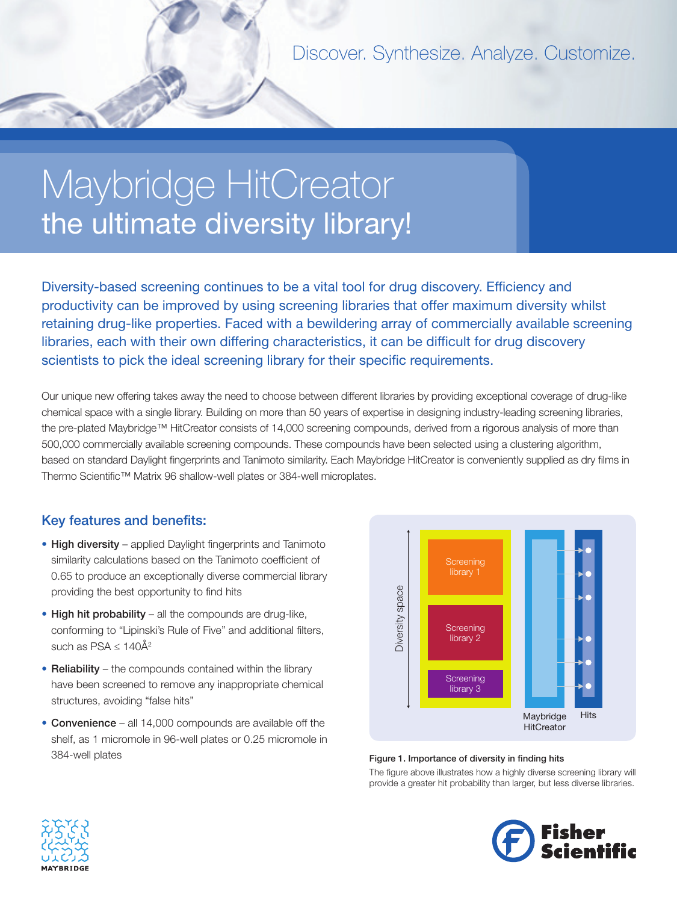Discover. Synthesize. Analyze. Customize.

# Maybridge HitCreator the ultimate diversity library!

Diversity-based screening continues to be a vital tool for drug discovery. Efficiency and productivity can be improved by using screening libraries that offer maximum diversity whilst retaining drug-like properties. Faced with a bewildering array of commercially available screening libraries, each with their own differing characteristics, it can be difficult for drug discovery scientists to pick the ideal screening library for their specific requirements.

Our unique new offering takes away the need to choose between different libraries by providing exceptional coverage of drug-like chemical space with a single library. Building on more than 50 years of expertise in designing industry-leading screening libraries, the pre-plated Maybridge™ HitCreator consists of 14,000 screening compounds, derived from a rigorous analysis of more than 500,000 commercially available screening compounds. These compounds have been selected using a clustering algorithm, based on standard Daylight fingerprints and Tanimoto similarity. Each Maybridge HitCreator is conveniently supplied as dry films in Thermo Scientific™ Matrix 96 shallow-well plates or 384-well microplates.

## Key features and benefits:

- High diversity applied Daylight fingerprints and Tanimoto similarity calculations based on the Tanimoto coefficient of 0.65 to produce an exceptionally diverse commercial library providing the best opportunity to find hits
- High hit probability all the compounds are drug-like, conforming to "Lipinski's Rule of Five" and additional filters, such as PSA  $\leq 140\text{\AA}^2$
- Reliability the compounds contained within the library have been screened to remove any inappropriate chemical structures, avoiding "false hits"
- Convenience all 14,000 compounds are available off the shelf, as 1 micromole in 96-well plates or 0.25 micromole in 384-well plates



#### Figure 1. Importance of diversity in finding hits

The figure above illustrates how a highly diverse screening library will provide a greater hit probability than larger, but less diverse libraries.